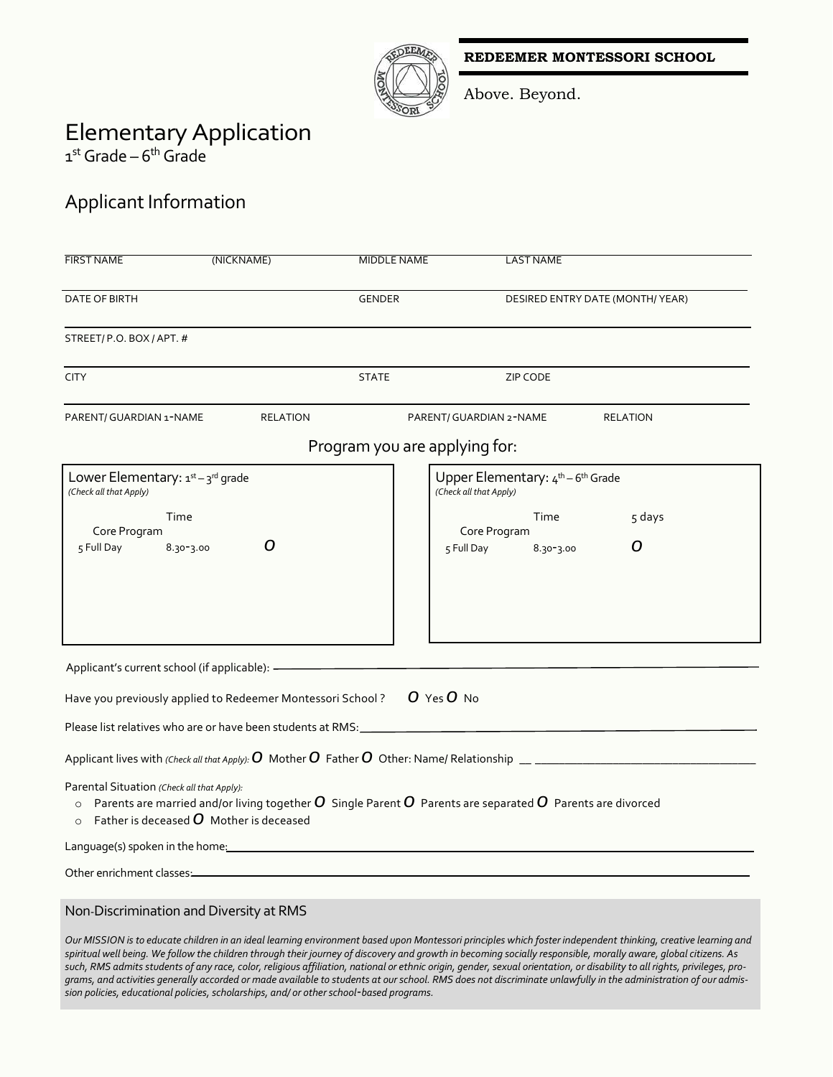**REDEEMER MONTESSORI SCHOOL**



Above. Beyond.

# ElementaryApplication

1<sup>st</sup> Grade – 6<sup>th</sup> Grade

### Applicant Information

| <b>FIRST NAME</b>                                                                                                                                                                                                                      | (NICKNAME)      | <b>MIDDLE NAME</b>            |                         | <b>LAST NAME</b>                  |                                                                                                                                                               |
|----------------------------------------------------------------------------------------------------------------------------------------------------------------------------------------------------------------------------------------|-----------------|-------------------------------|-------------------------|-----------------------------------|---------------------------------------------------------------------------------------------------------------------------------------------------------------|
| DATE OF BIRTH                                                                                                                                                                                                                          |                 | <b>GENDER</b>                 |                         | DESIRED ENTRY DATE (MONTH/YEAR)   |                                                                                                                                                               |
| STREET/P.O. BOX/APT. #                                                                                                                                                                                                                 |                 |                               |                         |                                   |                                                                                                                                                               |
| <b>CITY</b>                                                                                                                                                                                                                            |                 | <b>STATE</b>                  |                         | ZIP CODE                          |                                                                                                                                                               |
| PARENT/ GUARDIAN 1-NAME                                                                                                                                                                                                                | <b>RELATION</b> |                               | PARENT/ GUARDIAN 2-NAME |                                   | <b>RELATION</b>                                                                                                                                               |
|                                                                                                                                                                                                                                        |                 | Program you are applying for: |                         |                                   |                                                                                                                                                               |
| Lower Elementary: $1^{st}-3^{rd}$ grade<br>(Check all that Apply)                                                                                                                                                                      |                 |                               | (Check all that Apply)  | Upper Elementary: 4th - 6th Grade |                                                                                                                                                               |
| Time<br>Core Program                                                                                                                                                                                                                   |                 |                               | Core Program            | Time                              | 5 days                                                                                                                                                        |
| 5 Full Day<br>8.30-3.00                                                                                                                                                                                                                | O               |                               | 5 Full Day              | 8.30-3.00                         | O                                                                                                                                                             |
|                                                                                                                                                                                                                                        |                 |                               |                         |                                   |                                                                                                                                                               |
|                                                                                                                                                                                                                                        |                 |                               |                         |                                   |                                                                                                                                                               |
| Applicant's current school (if applicable): -                                                                                                                                                                                          |                 |                               |                         |                                   |                                                                                                                                                               |
| Have you previously applied to Redeemer Montessori School?                                                                                                                                                                             |                 |                               | O Yes O No              |                                   |                                                                                                                                                               |
|                                                                                                                                                                                                                                        |                 |                               |                         |                                   |                                                                                                                                                               |
|                                                                                                                                                                                                                                        |                 |                               |                         |                                   | Applicant lives with (Check all that Apply): $O$ Mother $O$ Father $O$ Other: Name/ Relationship $\_$                                                         |
| Parental Situation (Check all that Apply):<br>$\circ$ Parents are married and/or living together $\bm{O}$ Single Parent $\bm{O}$ Parents are separated $\bm{O}$ Parents are divorced<br>Father is deceased $\bm{O}$ Mother is deceased |                 |                               |                         |                                   |                                                                                                                                                               |
| Language(s) spoken in the home:                                                                                                                                                                                                        |                 |                               |                         |                                   |                                                                                                                                                               |
| Other enrichment classes                                                                                                                                                                                                               |                 |                               |                         |                                   |                                                                                                                                                               |
| Non-Discrimination and Diversity at RMS                                                                                                                                                                                                |                 |                               |                         |                                   |                                                                                                                                                               |
| spiritual well being. We follow the children through their journey of discovery and growth in becoming socially responsible, morally aware, global citizens. As                                                                        |                 |                               |                         |                                   | Our MISSION is to educate children in an ideal learning environment based upon Montessori principles which foster independent thinking, creative learning and |

*spiritual well being. We follow the children through their journey of discovery and growth in becoming socially responsible, morally aware, global citizens. As such, RMS admits students of any race, color, religious affiliation, national or ethnic origin, gender, sexual orientation, or disability to all rights, privileges, programs, and activities generally accorded or made available to students at our school. RMS does not discriminate unlawfully in the administration of our admission policies, educational policies, scholarships, and/ or other school-based programs.*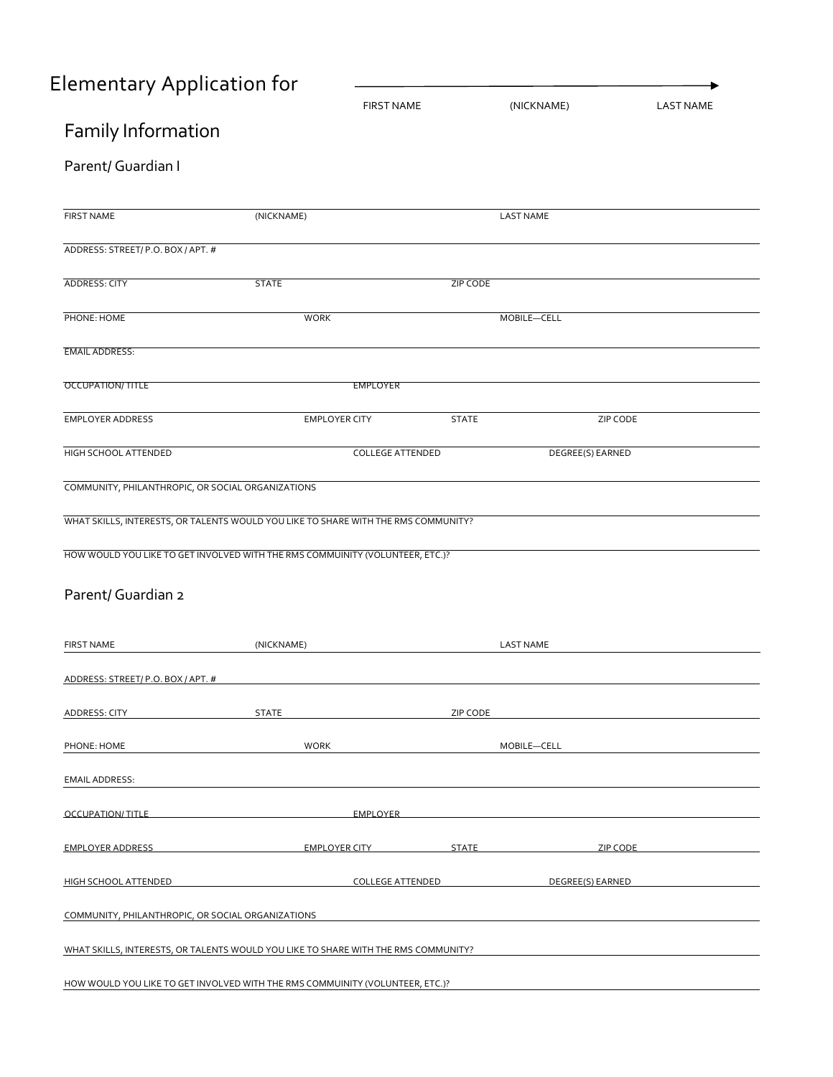# Elementary Application for

|                                                                                    |                                                                                                                                                                                                                                | <b>FIRST NAME</b>       | (NICKNAME)       | <b>LAST NAME</b> |
|------------------------------------------------------------------------------------|--------------------------------------------------------------------------------------------------------------------------------------------------------------------------------------------------------------------------------|-------------------------|------------------|------------------|
| Family Information                                                                 |                                                                                                                                                                                                                                |                         |                  |                  |
| Parent/ Guardian I                                                                 |                                                                                                                                                                                                                                |                         |                  |                  |
| <b>FIRST NAME</b>                                                                  | (NICKNAME)                                                                                                                                                                                                                     |                         | <b>LAST NAME</b> |                  |
| ADDRESS: STREET/P.O. BOX/APT. #                                                    |                                                                                                                                                                                                                                |                         |                  |                  |
| ADDRESS: CITY                                                                      | <b>STATE</b>                                                                                                                                                                                                                   | <b>ZIP CODE</b>         |                  |                  |
| PHONE: HOME                                                                        | <b>WORK</b>                                                                                                                                                                                                                    |                         | MOBILE-CELL      |                  |
| <b>EMAIL ADDRESS:</b>                                                              |                                                                                                                                                                                                                                |                         |                  |                  |
| <b>OCCUPATION/TITLE</b>                                                            | <b>EMPLOYER</b>                                                                                                                                                                                                                |                         |                  |                  |
| <b>EMPLOYER ADDRESS</b>                                                            | <b>EMPLOYER CITY</b>                                                                                                                                                                                                           | <b>STATE</b>            | ZIP CODE         |                  |
| HIGH SCHOOL ATTENDED                                                               |                                                                                                                                                                                                                                | <b>COLLEGE ATTENDED</b> | DEGREE(S) EARNED |                  |
| COMMUNITY, PHILANTHROPIC, OR SOCIAL ORGANIZATIONS                                  |                                                                                                                                                                                                                                |                         |                  |                  |
| WHAT SKILLS, INTERESTS, OR TALENTS WOULD YOU LIKE TO SHARE WITH THE RMS COMMUNITY? |                                                                                                                                                                                                                                |                         |                  |                  |
| HOW WOULD YOU LIKE TO GET INVOLVED WITH THE RMS COMMUINITY (VOLUNTEER, ETC.)?      |                                                                                                                                                                                                                                |                         |                  |                  |
| Parent/ Guardian 2                                                                 |                                                                                                                                                                                                                                |                         |                  |                  |
|                                                                                    |                                                                                                                                                                                                                                |                         |                  |                  |
| <b>FIRST NAME</b>                                                                  | (NICKNAME)                                                                                                                                                                                                                     |                         | <b>LAST NAME</b> |                  |
| ADDRESS: STREET/ P.O. BOX / APT. #                                                 |                                                                                                                                                                                                                                |                         |                  |                  |
| ADDRESS: CITY                                                                      | <b>STATE</b>                                                                                                                                                                                                                   | ZIP CODE                |                  |                  |
| PHONE: HOME                                                                        | <b>WORK</b>                                                                                                                                                                                                                    |                         | MOBILE-CELL      |                  |
| <b>EMAIL ADDRESS:</b>                                                              |                                                                                                                                                                                                                                |                         |                  |                  |
| OCCUPATION/ TITLE EMPLOYER                                                         |                                                                                                                                                                                                                                |                         |                  |                  |
| <b>EMPLOYER ADDRESS</b>                                                            | EMPLOYER CITY STATE STATE STATE STATE STATE STATE STATE STATE STATE STATE STATE STATE STATE STATE STATE STATE STATE STATE STATE STATE STATE STATE STATE STATE STATE STATE STATE STATE STATE STATE STATE STATE STATE STATE STAT |                         |                  |                  |
| <b>HIGH SCHOOL ATTENDED</b>                                                        | COLLEGE ATTENDED THE DEGREE (S) EARNED                                                                                                                                                                                         |                         |                  |                  |
| COMMUNITY, PHILANTHROPIC, OR SOCIAL ORGANIZATIONS                                  |                                                                                                                                                                                                                                |                         |                  |                  |
| WHAT SKILLS, INTERESTS, OR TALENTS WOULD YOU LIKE TO SHARE WITH THE RMS COMMUNITY? |                                                                                                                                                                                                                                |                         |                  |                  |
| HOW WOULD YOU LIKE TO GET INVOLVED WITH THE RMS COMMUINITY (VOLUNTEER, ETC.)?      |                                                                                                                                                                                                                                |                         |                  |                  |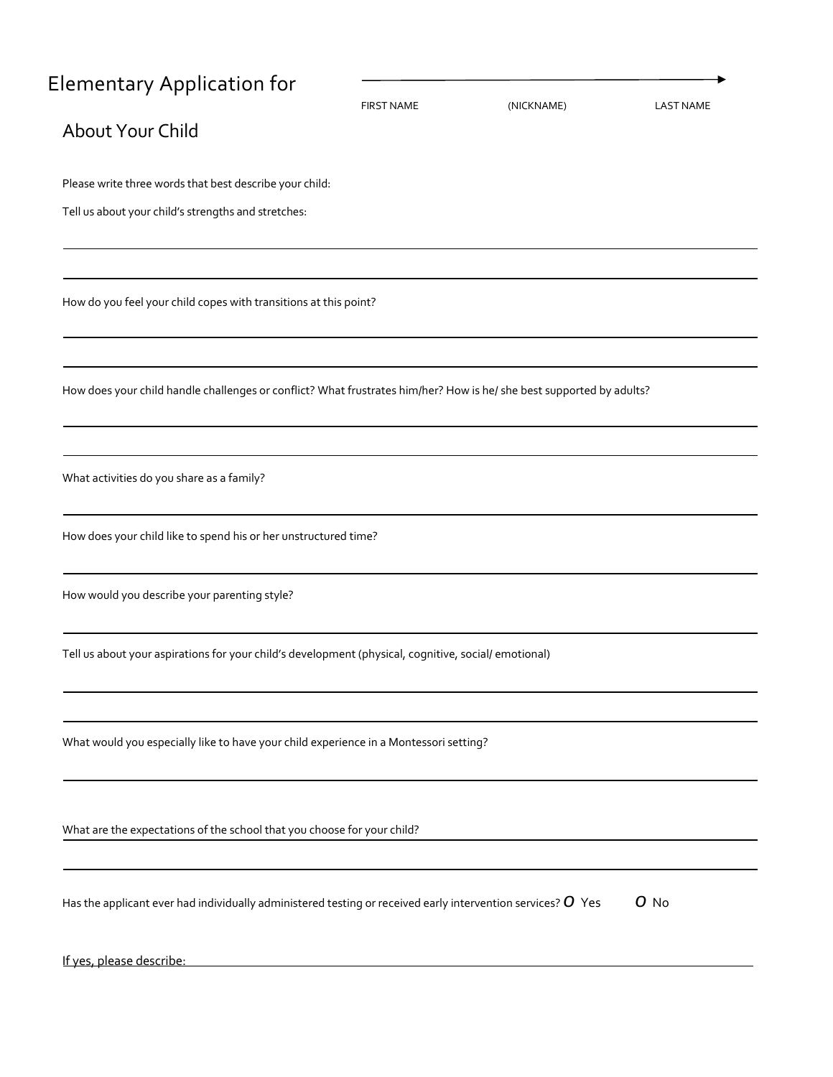# Elementary Application for

|                                                                                                                      | <b>FIRST NAME</b> | (NICKNAME) | <b>LAST NAME</b> |
|----------------------------------------------------------------------------------------------------------------------|-------------------|------------|------------------|
| About Your Child                                                                                                     |                   |            |                  |
|                                                                                                                      |                   |            |                  |
| Please write three words that best describe your child:                                                              |                   |            |                  |
| Tell us about your child's strengths and stretches:                                                                  |                   |            |                  |
|                                                                                                                      |                   |            |                  |
|                                                                                                                      |                   |            |                  |
| How do you feel your child copes with transitions at this point?                                                     |                   |            |                  |
|                                                                                                                      |                   |            |                  |
|                                                                                                                      |                   |            |                  |
|                                                                                                                      |                   |            |                  |
| How does your child handle challenges or conflict? What frustrates him/her? How is he/ she best supported by adults? |                   |            |                  |
|                                                                                                                      |                   |            |                  |
|                                                                                                                      |                   |            |                  |
| What activities do you share as a family?                                                                            |                   |            |                  |
|                                                                                                                      |                   |            |                  |
| How does your child like to spend his or her unstructured time?                                                      |                   |            |                  |
|                                                                                                                      |                   |            |                  |
| How would you describe your parenting style?                                                                         |                   |            |                  |
|                                                                                                                      |                   |            |                  |
| Tell us about your aspirations for your child's development (physical, cognitive, social/ emotional)                 |                   |            |                  |
|                                                                                                                      |                   |            |                  |
|                                                                                                                      |                   |            |                  |
| What would you especially like to have your child experience in a Montessori setting?                                |                   |            |                  |
|                                                                                                                      |                   |            |                  |
|                                                                                                                      |                   |            |                  |
|                                                                                                                      |                   |            |                  |
| What are the expectations of the school that you choose for your child?                                              |                   |            |                  |
|                                                                                                                      |                   |            |                  |
| Has the applicant ever had individually administered testing or received early intervention services? $O$ Yes        |                   |            | $O$ No           |
|                                                                                                                      |                   |            |                  |
| If yes, please describe:                                                                                             |                   |            |                  |
|                                                                                                                      |                   |            |                  |

 $\ddot{\phantom{1}}$